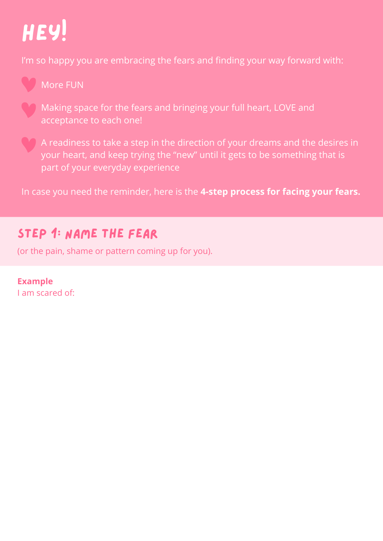# Hey!

I'm so happy you are embracing the fears and finding your way forward with:



More FUN

Making space for the fears and bringing your full heart, LOVE and acceptance to each one!

A readiness to take a step in the direction of your dreams and the desires in your heart, and keep trying the "new" until it gets to be something that is part of your everyday experience

In case you need the reminder, here is the **4-step process for facing your fears.**

# Step 1: Name the fear

(or the pain, shame or pattern coming up for you).

**Example** I am scared of: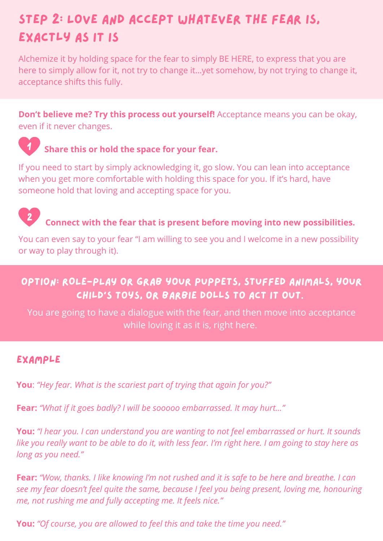# Step 2: Love and Accept whatever the fear is, exactly as it is

Alchemize it by holding space for the fear to simply BE HERE, to express that you are here to simply allow for it, not try to change it…yet somehow, by not trying to change it, acceptance shifts this fully.

**Don't believe me? Try this process out yourself!** Acceptance means you can be okay, even if it never changes.



#### 1 **Share this or hold the space for your fear.**

If you need to start by simply acknowledging it, go slow. You can lean into acceptance when you get more comfortable with holding this space for you. If it's hard, have someone hold that loving and accepting space for you.



# **Connect with the fear that is present before moving into new possibilities.**

You can even say to your fear "I am willing to see you and I welcome in a new possibility or way to play through it).

#### option: ROLE-PLAY or grab your puppets, stuffed animals, your child's toys, or Barbie dolls to act it out.

You are going to have a dialogue with the fear, and then move into acceptance while loving it as it is, right here.

#### Example

**You**: *"Hey fear. What is the scariest part of trying that again for you?"*

**Fear:** *"What if it goes badly? I will be sooooo embarrassed. It may hurt…"*

**You:** *"I hear you. I can understand you are wanting to not feel embarrassed or hurt. It sounds* like you really want to be able to do it, with less fear. I'm right here. I am going to stay here as *long as you need."*

Fear: "Wow, thanks. I like knowing I'm not rushed and it is safe to be here and breathe. I can *see my fear doesn't feel quite the same, because I feel you being present, loving me, honouring me, not rushing me and fully accepting me. It feels nice."*

**You:** *"Of course, you are allowed to feel this and take the time you need."*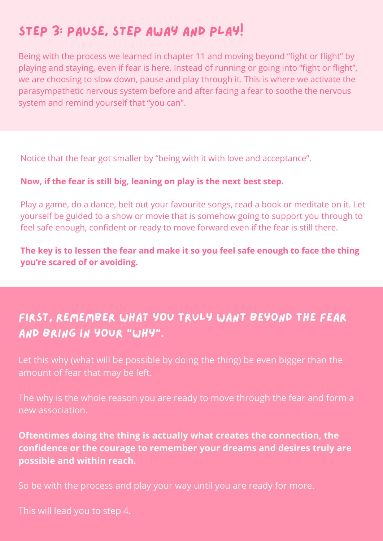# Step 3: pause, step away and play!

Being with the process we learned in chapter 11 and moving beyond "fight or flight" by playing and staying, even if fear is here. Instead of running or going into "fight or flight", we are choosing to slow down, pause and play through it. This is where we activate the parasympathetic nervous system before and after facing a fear to soothe the nervous system and remind yourself that "you can".

Notice that the fear got smaller by "being with it with love and acceptance".

#### **Now, if the fear is still big, leaning on play is the next best step.**

Play a game, do a dance, belt out your favourite songs, read a book or meditate on it. Let yourself be guided to a show or movie that is somehow going to support you through to feel safe enough, confident or ready to move forward even if the fear is still there.

**The key is to lessen the fear and make it so you feel safe enough to face the thing you're scared of or avoiding.**

#### First, remember what you truly want beyond the fear and bring in your "why".

Let this why (what will be possible by doing the thing) be even bigger than the amount of fear that may be left.

The why is the whole reason you are ready to move through the fear and form a new association.

#### **Oftentimes doing the thing is actually what creates the connection, the confidence or the courage to remember your dreams and desires truly are possible and within reach.**

So be with the process and play your way until you are ready for more.

This will lead you to step 4.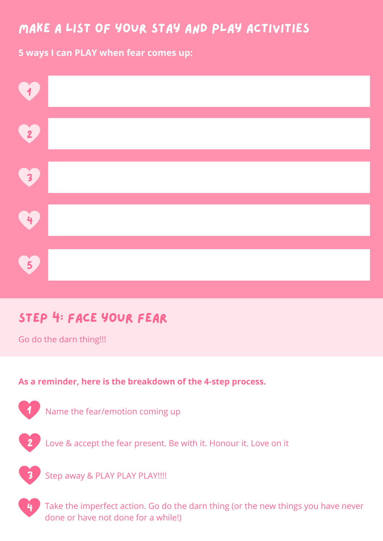### make a list of your stay and play activities

**5 ways I can PLAY when fear comes up:**



# Step 4: Face your fear

Go do the darn thing!!!

#### **As a reminder, here is the breakdown of the 4-step process.**



Name the fear/emotion coming up



2 Love & accept the fear present. Be with it. Honour it. Love on it



Step away & PLAY PLAY PLAY!!!!

Take the imperfect action. Go do the darn thing (or the new things you have never done or have not done for a while!)